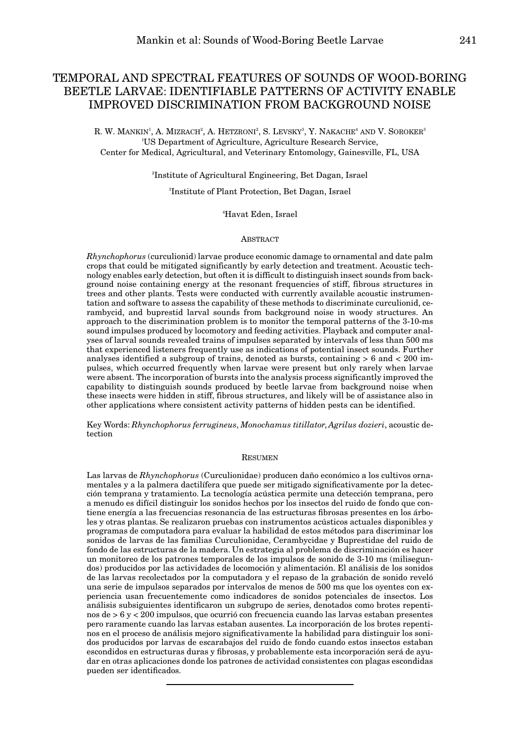# TEMPORAL AND SPECTRAL FEATURES OF SOUNDS OF WOOD-BORING BEETLE LARVAE: IDENTIFIABLE PATTERNS OF ACTIVITY ENABLE IMPROVED DISCRIMINATION FROM BACKGROUND NOISE

R. W. MANKIN', A. MIZRACH<sup>2</sup>, A. HETZRONI<sup>2</sup>, S. LEVSKY<sup>3</sup>, Y. NAKACHE<sup>4</sup> AND V. SOROKER<sup>3</sup> 1 US Department of Agriculture, Agriculture Research Service, Center for Medical, Agricultural, and Veterinary Entomology, Gainesville, FL, USA

2 Institute of Agricultural Engineering, Bet Dagan, Israel

3 Institute of Plant Protection, Bet Dagan, Israel

#### 4 Havat Eden, Israel

### **ABSTRACT**

*Rhynchophorus* (curculionid) larvae produce economic damage to ornamental and date palm crops that could be mitigated significantly by early detection and treatment. Acoustic technology enables early detection, but often it is difficult to distinguish insect sounds from background noise containing energy at the resonant frequencies of stiff, fibrous structures in trees and other plants. Tests were conducted with currently available acoustic instrumentation and software to assess the capability of these methods to discriminate curculionid, cerambycid, and buprestid larval sounds from background noise in woody structures. An approach to the discrimination problem is to monitor the temporal patterns of the 3-10-ms sound impulses produced by locomotory and feeding activities. Playback and computer analyses of larval sounds revealed trains of impulses separated by intervals of less than 500 ms that experienced listeners frequently use as indications of potential insect sounds. Further analyses identified a subgroup of trains, denoted as bursts, containing  $> 6$  and  $< 200$  impulses, which occurred frequently when larvae were present but only rarely when larvae were absent. The incorporation of bursts into the analysis process significantly improved the capability to distinguish sounds produced by beetle larvae from background noise when these insects were hidden in stiff, fibrous structures, and likely will be of assistance also in other applications where consistent activity patterns of hidden pests can be identified.

Key Words: *Rhynchophorus ferrugineus*, *Monochamus titillator*, *Agrilus dozieri*, acoustic detection

#### **RESUMEN**

Las larvas de *Rhynchophorus* (Curculionidae) producen daño económico a los cultivos ornamentales y a la palmera dactilífera que puede ser mitigado significativamente por la detección temprana y tratamiento. La tecnología acústica permite una detección temprana, pero a menudo es difícil distinguir los sonidos hechos por los insectos del ruido de fondo que contiene energía a las frecuencias resonancia de las estructuras fibrosas presentes en los árboles y otras plantas. Se realizaron pruebas con instrumentos acústicos actuales disponibles y programas de computadora para evaluar la habilidad de estos métodos para discriminar los sonidos de larvas de las familias Curculionidae, Cerambycidae y Buprestidae del ruido de fondo de las estructuras de la madera. Un estrategia al problema de discriminación es hacer un monitoreo de los patrones temporales de los impulsos de sonido de 3-10 ms (milisegundos) producidos por las actividades de locomoción y alimentación. El análisis de los sonidos de las larvas recolectados por la computadora y el repaso de la grabación de sonido reveló una serie de impulsos separados por intervalos de menos de 500 ms que los oyentes con experiencia usan frecuentemente como indicadores de sonidos potenciales de insectos. Los análisis subsiguientes identificaron un subgrupo de series, denotados como brotes repentinos de > 6 y < 200 impulsos, que ocurrió con frecuencia cuando las larvas estaban presentes pero raramente cuando las larvas estaban ausentes. La incorporación de los brotes repentinos en el proceso de análisis mejoro significativamente la habilidad para distinguir los sonidos producidos por larvas de escarabajos del ruido de fondo cuando estos insectos estaban escondidos en estructuras duras y fibrosas, y probablemente esta incorporación será de ayudar en otras aplicaciones donde los patrones de actividad consistentes con plagas escondidas pueden ser identificados.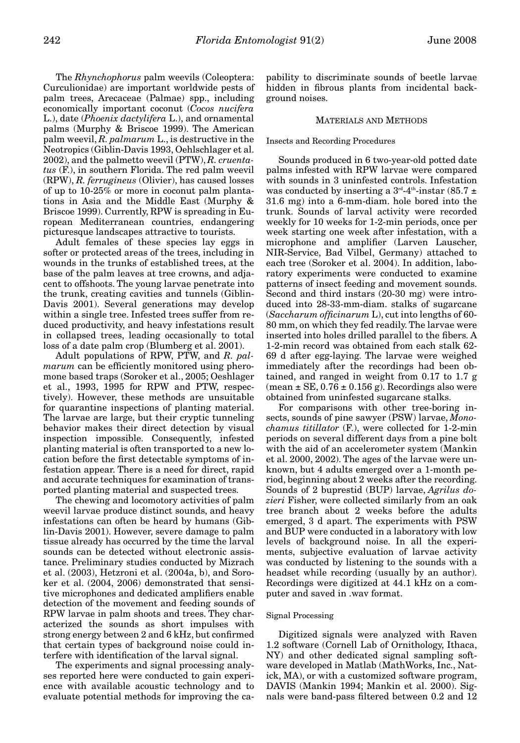The *Rhynchophorus* palm weevils (Coleoptera: Curculionidae) are important worldwide pests of palm trees, Arecaceae (Palmae) spp., including economically important coconut (*Cocos nucifera* L.), date (*Phoenix dactylifera* L.), and ornamental palms (Murphy & Briscoe 1999). The American palm weevil, *R. palmarum* L., is destructive in the Neotropics (Giblin-Davis 1993, Oehlschlager et al. 2002), and the palmetto weevil (PTW), *R. cruentatus* (F.), in southern Florida. The red palm weevil (RPW), *R. ferrugineus* (Olivier), has caused losses of up to 10-25% or more in coconut palm plantations in Asia and the Middle East (Murphy & Briscoe 1999). Currently, RPW is spreading in European Mediterranean countries, endangering picturesque landscapes attractive to tourists.

Adult females of these species lay eggs in softer or protected areas of the trees, including in wounds in the trunks of established trees, at the base of the palm leaves at tree crowns, and adjacent to offshoots. The young larvae penetrate into the trunk, creating cavities and tunnels (Giblin-Davis 2001). Several generations may develop within a single tree. Infested trees suffer from reduced productivity, and heavy infestations result in collapsed trees, leading occasionally to total loss of a date palm crop (Blumberg et al. 2001).

Adult populations of RPW, PTW, and *R. palmarum* can be efficiently monitored using pheromone based traps (Soroker et al., 2005; Oeshlager et al., 1993, 1995 for RPW and PTW, respectively). However, these methods are unsuitable for quarantine inspections of planting material. The larvae are large, but their cryptic tunneling behavior makes their direct detection by visual inspection impossible. Consequently, infested planting material is often transported to a new location before the first detectable symptoms of infestation appear. There is a need for direct, rapid and accurate techniques for examination of transported planting material and suspected trees.

The chewing and locomotory activities of palm weevil larvae produce distinct sounds, and heavy infestations can often be heard by humans (Giblin-Davis 2001). However, severe damage to palm tissue already has occurred by the time the larval sounds can be detected without electronic assistance. Preliminary studies conducted by Mizrach et al. (2003), Hetzroni et al. (2004a, b), and Soroker et al. (2004, 2006) demonstrated that sensitive microphones and dedicated amplifiers enable detection of the movement and feeding sounds of RPW larvae in palm shoots and trees. They characterized the sounds as short impulses with strong energy between 2 and 6 kHz, but confirmed that certain types of background noise could interfere with identification of the larval signal.

The experiments and signal processing analyses reported here were conducted to gain experience with available acoustic technology and to evaluate potential methods for improving the ca-

pability to discriminate sounds of beetle larvae hidden in fibrous plants from incidental background noises.

## MATERIALS AND METHODS

Insects and Recording Procedures

Sounds produced in 6 two-year-old potted date palms infested with RPW larvae were compared with sounds in 3 uninfested controls. Infestation was conducted by inserting a  $3<sup>rd</sup>$ -4<sup>th</sup>-instar (85.7  $\pm$ 31.6 mg) into a 6-mm-diam. hole bored into the trunk. Sounds of larval activity were recorded weekly for 10 weeks for 1-2-min periods, once per week starting one week after infestation, with a microphone and amplifier (Larven Lauscher, NIR-Service, Bad Vilbel, Germany) attached to each tree (Soroker et al. 2004). In addition, laboratory experiments were conducted to examine patterns of insect feeding and movement sounds. Second and third instars (20-30 mg) were introduced into 28-33-mm-diam. stalks of sugarcane (*Saccharum officinarum* L), cut into lengths of 60- 80 mm, on which they fed readily. The larvae were inserted into holes drilled parallel to the fibers. A 1-2-min record was obtained from each stalk 62- 69 d after egg-laying. The larvae were weighed immediately after the recordings had been obtained, and ranged in weight from 0.17 to 1.7 g  $(\text{mean} \pm \text{SE}, 0.76 \pm 0.156 \text{ g})$ . Recordings also were obtained from uninfested sugarcane stalks.

For comparisons with other tree-boring insects, sounds of pine sawyer (PSW) larvae, *Monochamus titillator* (F.), were collected for 1-2-min periods on several different days from a pine bolt with the aid of an accelerometer system (Mankin et al. 2000, 2002). The ages of the larvae were unknown, but 4 adults emerged over a 1-month period, beginning about 2 weeks after the recording. Sounds of 2 buprestid (BUP) larvae, *Agrilus dozieri* Fisher, were collected similarly from an oak tree branch about 2 weeks before the adults emerged, 3 d apart. The experiments with PSW and BUP were conducted in a laboratory with low levels of background noise. In all the experiments, subjective evaluation of larvae activity was conducted by listening to the sounds with a headset while recording (usually by an author). Recordings were digitized at 44.1 kHz on a computer and saved in .wav format.

# Signal Processing

Digitized signals were analyzed with Raven 1.2 software (Cornell Lab of Ornithology, Ithaca, NY) and other dedicated signal sampling software developed in Matlab (MathWorks, Inc., Natick, MA), or with a customized software program, DAVIS (Mankin 1994; Mankin et al. 2000). Signals were band-pass filtered between 0.2 and 12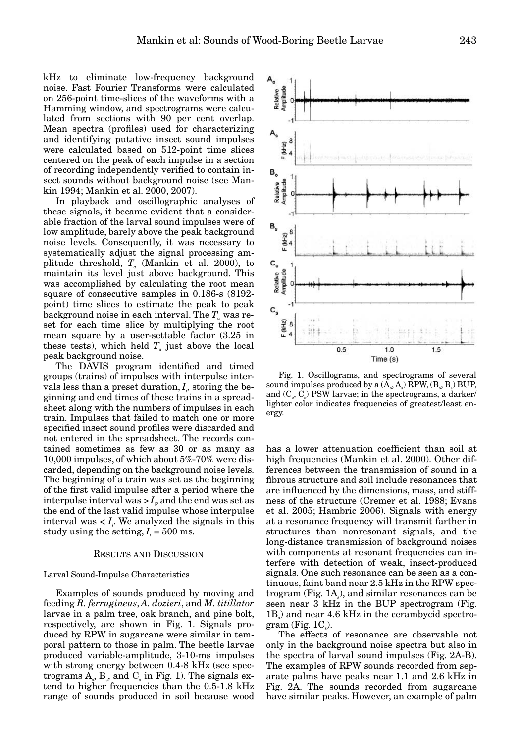kHz to eliminate low-frequency background noise. Fast Fourier Transforms were calculated on 256-point time-slices of the waveforms with a Hamming window, and spectrograms were calculated from sections with 90 per cent overlap. Mean spectra (profiles) used for characterizing and identifying putative insect sound impulses were calculated based on 512-point time slices centered on the peak of each impulse in a section of recording independently verified to contain insect sounds without background noise (see Mankin 1994; Mankin et al. 2000, 2007).

In playback and oscillographic analyses of these signals, it became evident that a considerable fraction of the larval sound impulses were of low amplitude, barely above the peak background noise levels. Consequently, it was necessary to systematically adjust the signal processing amplitude threshold,  $T_a$  (Mankin et al. 2000), to maintain its level just above background. This was accomplished by calculating the root mean square of consecutive samples in 0.186-s (8192 point) time slices to estimate the peak to peak background noise in each interval. The  $T_a$  was reset for each time slice by multiplying the root mean square by a user-settable factor (3.25 in these tests), which held  $T_a$  just above the local peak background noise.

The DAVIS program identified and timed groups (trains) of impulses with interpulse intervals less than a preset duration,  $I_{\scriptscriptstyle \mathcal{P}}$  storing the beginning and end times of these trains in a spreadsheet along with the numbers of impulses in each train. Impulses that failed to match one or more specified insect sound profiles were discarded and not entered in the spreadsheet. The records contained sometimes as few as 30 or as many as 10,000 impulses, of which about 5%-70% were discarded, depending on the background noise levels. The beginning of a train was set as the beginning of the first valid impulse after a period where the  ${\rm interval \,}$  was  $>I_{\scriptscriptstyle i}$ , and the end was set as the end of the last valid impulse whose interpulse interval was  $I_i$ . We analyzed the signals in this study using the setting,  $I_i = 500$  ms.

#### RESULTS AND DISCUSSION

# Larval Sound-Impulse Characteristics

Examples of sounds produced by moving and feeding *R. ferrugineus*, *A. dozieri*, and *M. titillator* larvae in a palm tree, oak branch, and pine bolt, respectively, are shown in Fig. 1. Signals produced by RPW in sugarcane were similar in temporal pattern to those in palm. The beetle larvae produced variable-amplitude, 3-10-ms impulses with strong energy between 0.4-8 kHz (see spectrograms  $A_s$ ,  $B_s$ , and  $C_s$  in Fig. 1). The signals extend to higher frequencies than the 0.5-1.8 kHz range of sounds produced in soil because wood



Fig. 1. Oscillograms, and spectrograms of several sound impulses produced by a  $(\text{A}_{\circ}, \text{A}_{\circ})$  RPW,  $(\text{B}_{\circ}, \text{B}_{\circ})$  BUP, and  $(C_{\scriptscriptstyle \circ},C_{\scriptscriptstyle \circ})$  PSW larvae; in the spectrograms, a darker/ lighter color indicates frequencies of greatest/least energy.

has a lower attenuation coefficient than soil at high frequencies (Mankin et al. 2000). Other differences between the transmission of sound in a fibrous structure and soil include resonances that are influenced by the dimensions, mass, and stiffness of the structure (Cremer et al. 1988; Evans et al. 2005; Hambric 2006). Signals with energy at a resonance frequency will transmit farther in structures than nonresonant signals, and the long-distance transmission of background noises with components at resonant frequencies can interfere with detection of weak, insect-produced signals. One such resonance can be seen as a continuous, faint band near 2.5 kHz in the RPW spec- $\operatorname{trogram}\left(\operatorname{Fig. 1A}_{\!s}\right)$ , and  $\operatorname{similar}$  resonances can be seen near 3 kHz in the BUP spectrogram (Fig.  $1B_s$ ) and near 4.6 kHz in the cerambycid spectro $gram$  (Fig.  $1C_s$ ).

The effects of resonance are observable not only in the background noise spectra but also in the spectra of larval sound impulses (Fig. 2A-B). The examples of RPW sounds recorded from separate palms have peaks near 1.1 and 2.6 kHz in Fig. 2A. The sounds recorded from sugarcane have similar peaks. However, an example of palm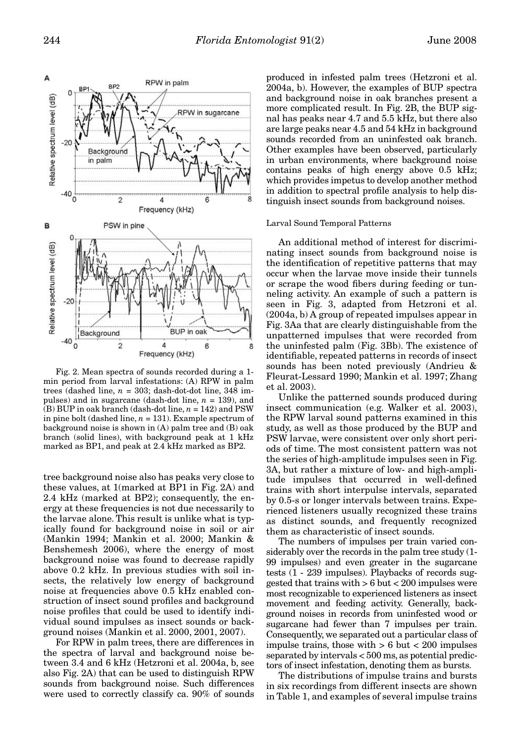

Fig. 2. Mean spectra of sounds recorded during a 1 min period from larval infestations: (A) RPW in palm trees (dashed line,  $n = 303$ ; dash-dot-dot line, 348 impulses) and in sugarcane (dash-dot line, *n* = 139), and (B) BUP in oak branch (dash-dot line, *n* = 142) and PSW in pine bolt (dashed line,  $n = 131$ ). Example spectrum of background noise is shown in (A) palm tree and (B) oak branch (solid lines), with background peak at 1 kHz marked as BP1, and peak at 2.4 kHz marked as BP2.

tree background noise also has peaks very close to these values, at 1(marked at BP1 in Fig. 2A) and 2.4 kHz (marked at BP2); consequently, the energy at these frequencies is not due necessarily to the larvae alone. This result is unlike what is typically found for background noise in soil or air (Mankin 1994; Mankin et al. 2000; Mankin & Benshemesh 2006), where the energy of most background noise was found to decrease rapidly above 0.2 kHz. In previous studies with soil insects, the relatively low energy of background noise at frequencies above 0.5 kHz enabled construction of insect sound profiles and background noise profiles that could be used to identify individual sound impulses as insect sounds or background noises (Mankin et al. 2000, 2001, 2007).

For RPW in palm trees, there are differences in the spectra of larval and background noise between 3.4 and 6 kHz (Hetzroni et al. 2004a, b, see also Fig. 2A) that can be used to distinguish RPW sounds from background noise. Such differences were used to correctly classify ca. 90% of sounds

produced in infested palm trees (Hetzroni et al. 2004a, b). However, the examples of BUP spectra and background noise in oak branches present a more complicated result. In Fig. 2B, the BUP signal has peaks near 4.7 and 5.5 kHz, but there also are large peaks near 4.5 and 54 kHz in background sounds recorded from an uninfested oak branch. Other examples have been observed, particularly in urban environments, where background noise contains peaks of high energy above 0.5 kHz; which provides impetus to develop another method in addition to spectral profile analysis to help distinguish insect sounds from background noises.

#### Larval Sound Temporal Patterns

An additional method of interest for discriminating insect sounds from background noise is the identification of repetitive patterns that may occur when the larvae move inside their tunnels or scrape the wood fibers during feeding or tunneling activity. An example of such a pattern is seen in Fig. 3, adapted from Hetzroni et al. (2004a, b) A group of repeated impulses appear in Fig. 3Aa that are clearly distinguishable from the unpatterned impulses that were recorded from the uninfested palm (Fig. 3Bb). The existence of identifiable, repeated patterns in records of insect sounds has been noted previously (Andrieu & Fleurat-Lessard 1990; Mankin et al. 1997; Zhang et al. 2003).

Unlike the patterned sounds produced during insect communication (e.g. Walker et al. 2003), the RPW larval sound patterns examined in this study, as well as those produced by the BUP and PSW larvae, were consistent over only short periods of time. The most consistent pattern was not the series of high-amplitude impulses seen in Fig. 3A, but rather a mixture of low- and high-amplitude impulses that occurred in well-defined trains with short interpulse intervals, separated by 0.5-s or longer intervals between trains. Experienced listeners usually recognized these trains as distinct sounds, and frequently recognized them as characteristic of insect sounds.

The numbers of impulses per train varied considerably over the records in the palm tree study (1- 99 impulses) and even greater in the sugarcane tests (1 - 239 impulses). Playbacks of records suggested that trains with > 6 but < 200 impulses were most recognizable to experienced listeners as insect movement and feeding activity. Generally, background noises in records from uninfested wood or sugarcane had fewer than 7 impulses per train. Consequently, we separated out a particular class of impulse trains, those with  $> 6$  but  $< 200$  impulses separated by intervals < 500 ms, as potential predictors of insect infestation, denoting them as bursts.

The distributions of impulse trains and bursts in six recordings from different insects are shown in Table 1, and examples of several impulse trains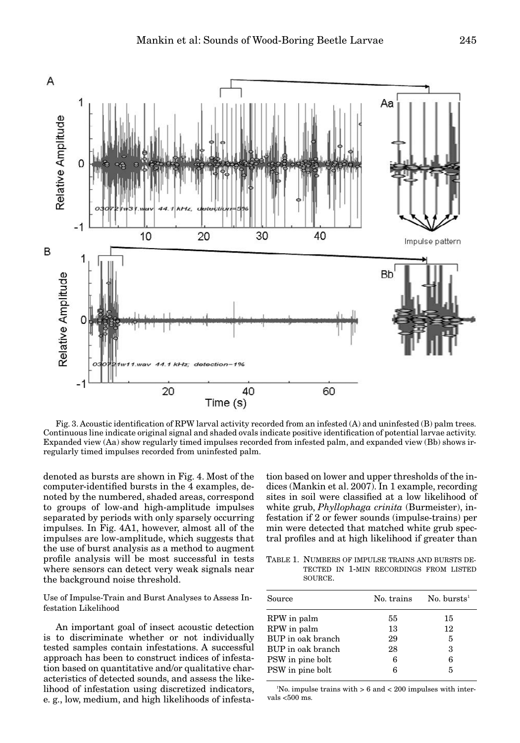

Fig. 3. Acoustic identification of RPW larval activity recorded from an infested (A) and uninfested (B) palm trees. Continuous line indicate original signal and shaded ovals indicate positive identification of potential larvae activity. Expanded view (Aa) show regularly timed impulses recorded from infested palm, and expanded view (Bb) shows irregularly timed impulses recorded from uninfested palm.

denoted as bursts are shown in Fig. 4. Most of the computer-identified bursts in the 4 examples, denoted by the numbered, shaded areas, correspond to groups of low-and high-amplitude impulses separated by periods with only sparsely occurring impulses. In Fig. 4A1, however, almost all of the impulses are low-amplitude, which suggests that the use of burst analysis as a method to augment profile analysis will be most successful in tests where sensors can detect very weak signals near the background noise threshold.

Use of Impulse-Train and Burst Analyses to Assess Infestation Likelihood

An important goal of insect acoustic detection is to discriminate whether or not individually tested samples contain infestations. A successful approach has been to construct indices of infestation based on quantitative and/or qualitative characteristics of detected sounds, and assess the likelihood of infestation using discretized indicators, e. g., low, medium, and high likelihoods of infestation based on lower and upper thresholds of the indices (Mankin et al. 2007). In 1 example, recording sites in soil were classified at a low likelihood of white grub, *Phyllophaga crinita* (Burmeister), infestation if 2 or fewer sounds (impulse-trains) per min were detected that matched white grub spectral profiles and at high likelihood if greater than

TABLE 1. NUMBERS OF IMPULSE TRAINS AND BURSTS DE-TECTED IN 1-MIN RECORDINGS FROM LISTED SOURCE.

| Source            | No. trains | No. bursts <sup>1</sup> |
|-------------------|------------|-------------------------|
| RPW in palm       | 55         | 15                      |
| RPW in palm       | 13         | 12                      |
| BUP in oak branch | 29         | 5                       |
| BUP in oak branch | 28         | 3                       |
| PSW in pine bolt  | 6          | 6                       |
| PSW in pine bolt  | R          | 5                       |

 $N<sup>1</sup>$ No. impulse trains with  $> 6$  and  $< 200$  impulses with intervals <500 ms.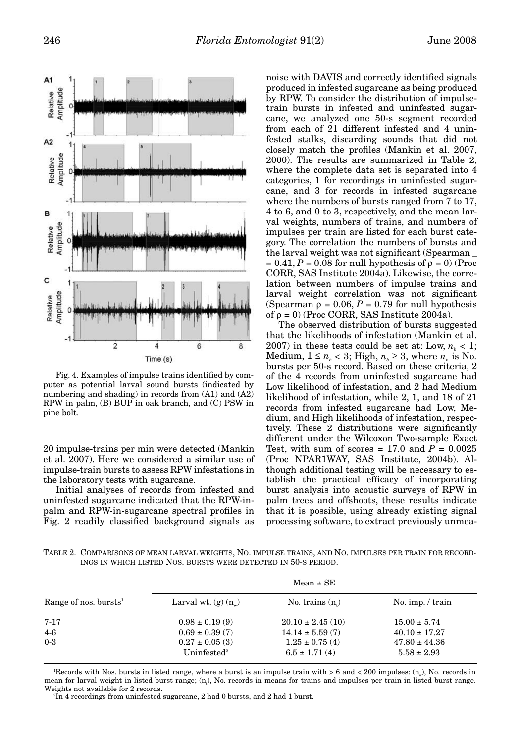

Fig. 4. Examples of impulse trains identified by computer as potential larval sound bursts (indicated by numbering and shading) in records from (A1) and (A2) RPW in palm, (B) BUP in oak branch, and (C) PSW in pine bolt.

20 impulse-trains per min were detected (Mankin et al. 2007). Here we considered a similar use of impulse-train bursts to assess RPW infestations in the laboratory tests with sugarcane.

Initial analyses of records from infested and uninfested sugarcane indicated that the RPW-inpalm and RPW-in-sugarcane spectral profiles in Fig. 2 readily classified background signals as noise with DAVIS and correctly identified signals produced in infested sugarcane as being produced by RPW. To consider the distribution of impulsetrain bursts in infested and uninfested sugarcane, we analyzed one 50-s segment recorded from each of 21 different infested and 4 uninfested stalks, discarding sounds that did not closely match the profiles (Mankin et al. 2007, 2000). The results are summarized in Table 2, where the complete data set is separated into 4 categories, 1 for recordings in uninfested sugarcane, and 3 for records in infested sugarcane where the numbers of bursts ranged from 7 to 17, 4 to 6, and 0 to 3, respectively, and the mean larval weights, numbers of trains, and numbers of impulses per train are listed for each burst category. The correlation the numbers of bursts and the larval weight was not significant (Spearman \_  $= 0.41, P = 0.08$  for null hypothesis of  $\rho = 0$ ) (Proc CORR, SAS Institute 2004a). Likewise, the correlation between numbers of impulse trains and larval weight correlation was not significant (Spearman  $\rho = 0.06$ ,  $P = 0.79$  for null hypothesis of  $\rho = 0$ ) (Proc CORR, SAS Institute 2004a).

The observed distribution of bursts suggested that the likelihoods of infestation (Mankin et al. 2007) in these tests could be set at: Low,  $n_k < 1$ ; Medium,  $1 \le n_b < 3$ ; High,  $n_b \ge 3$ , where  $n_b$  is No. bursts per 50-s record. Based on these criteria, 2 of the 4 records from uninfested sugarcane had Low likelihood of infestation, and 2 had Medium likelihood of infestation, while 2, 1, and 18 of 21 records from infested sugarcane had Low, Medium, and High likelihoods of infestation, respectively. These 2 distributions were significantly different under the Wilcoxon Two-sample Exact Test, with sum of scores  $= 17.0$  and  $P = 0.0025$ (Proc NPAR1WAY, SAS Institute, 2004b). Although additional testing will be necessary to establish the practical efficacy of incorporating burst analysis into acoustic surveys of RPW in palm trees and offshoots, these results indicate that it is possible, using already existing signal processing software, to extract previously unmea-

TABLE 2. COMPARISONS OF MEAN LARVAL WEIGHTS, NO. IMPULSE TRAINS, AND NO. IMPULSES PER TRAIN FOR RECORD-INGS IN WHICH LISTED NOS. BURSTS WERE DETECTED IN 50-S PERIOD.

|                                   | $Mean \pm SE$                                  |                                         |                                      |
|-----------------------------------|------------------------------------------------|-----------------------------------------|--------------------------------------|
| Range of nos. bursts <sup>1</sup> | Larval wt. $(g)$ $(n_{\ldots})$                | No. trains $(ni)$                       | No. imp. $/$ train                   |
| $7 - 17$                          | $0.98 \pm 0.19(9)$                             | $20.10 \pm 2.45(10)$                    | $15.00 \pm 5.74$                     |
| $4-6$                             | $0.69 \pm 0.39(7)$                             | $14.14 \pm 5.59(7)$                     | $40.10 \pm 17.27$                    |
| $0-3$                             | $0.27 \pm 0.05$ (3)<br>Uninfested <sup>2</sup> | $1.25 \pm 0.75(4)$<br>$6.5 \pm 1.71(4)$ | $47.80 \pm 44.36$<br>$5.58 \pm 2.93$ |

'Records with Nos. bursts in listed range, where a burst is an impulse train with  $> 6$  and  $< 200$  impulses:  $(n_w)$ , No. records in mean for larval weight in listed burst range; (n<sub>t</sub>), No. records in means for trains and impulses per train in listed burst range. Weights not available for 2 records.

2 In 4 recordings from uninfested sugarcane, 2 had 0 bursts, and 2 had 1 burst.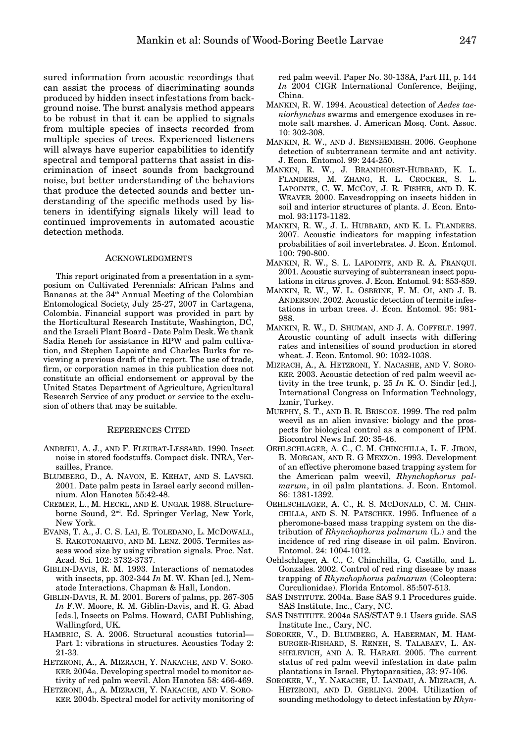sured information from acoustic recordings that can assist the process of discriminating sounds produced by hidden insect infestations from background noise. The burst analysis method appears to be robust in that it can be applied to signals from multiple species of insects recorded from multiple species of trees. Experienced listeners will always have superior capabilities to identify spectral and temporal patterns that assist in discrimination of insect sounds from background noise, but better understanding of the behaviors that produce the detected sounds and better understanding of the specific methods used by listeners in identifying signals likely will lead to continued improvements in automated acoustic detection methods.

# ACKNOWLEDGMENTS

This report originated from a presentation in a symposium on Cultivated Perennials: African Palms and Bananas at the 34<sup>th</sup> Annual Meeting of the Colombian Entomological Society, July 25-27, 2007 in Cartagena, Colombia. Financial support was provided in part by the Horticultural Research Institute, Washington, DC, and the Israeli Plant Board - Date Palm Desk. We thank Sadia Reneh for assistance in RPW and palm cultivation, and Stephen Lapointe and Charles Burks for reviewing a previous draft of the report. The use of trade, firm, or corporation names in this publication does not constitute an official endorsement or approval by the United States Department of Agriculture, Agricultural Research Service of any product or service to the exclusion of others that may be suitable.

#### REFERENCES CITED

- ANDRIEU, A. J., AND F. FLEURAT-LESSARD. 1990. Insect noise in stored foodstuffs. Compact disk. INRA, Versailles, France.
- BLUMBERG, D., A. NAVON, E. KEHAT, AND S. LAVSKI. 2001. Date palm pests in Israel early second millennium. Alon Hanotea 55:42-48.
- CREMER, L., M. HECKL, AND E. UNGAR. 1988. Structureborne Sound, 2nd. Ed. Springer Verlag, New York, New York.
- EVANS, T. A., J. C. S. LAI, E. TOLEDANO, L. MCDOWALL, S. RAKOTONARIVO, AND M. LENZ. 2005. Termites assess wood size by using vibration signals. Proc. Nat. Acad. Sci. 102: 3732-3737.
- GIBLIN-DAVIS, R. M. 1993. Interactions of nematodes with insects, pp. 302-344 *In* M. W. Khan [ed.], Nematode Interactions. Chapman & Hall, London.
- GIBLIN-DAVIS, R. M. 2001. Borers of palms, pp. 267-305 *In* F.W. Moore, R. M. Giblin-Davis, and R. G. Abad [eds.], Insects on Palms. Howard, CABI Publishing, Wallingford, UK.
- HAMBRIC, S. A. 2006. Structural acoustics tutorial— Part 1: vibrations in structures. Acoustics Today 2: 21-33.
- HETZRONI, A., A. MIZRACH, Y. NAKACHE, AND V. SORO-KER. 2004a. Developing spectral model to monitor activity of red palm weevil. Alon Hanotea 58: 466-469.
- HETZRONI, A., A. MIZRACH, Y. NAKACHE, AND V. SORO-KER. 2004b. Spectral model for activity monitoring of

red palm weevil. Paper No. 30-138A, Part III, p. 144 *In* 2004 CIGR International Conference, Beijing, China.

- MANKIN, R. W. 1994. Acoustical detection of *Aedes taeniorhynchus* swarms and emergence exoduses in remote salt marshes. J. American Mosq. Cont. Assoc. 10: 302-308.
- MANKIN, R. W., AND J. BENSHEMESH. 2006. Geophone detection of subterranean termite and ant activity. J. Econ. Entomol. 99: 244-250.
- MANKIN, R. W., J. BRANDHORST-HUBBARD, K. L. FLANDERS, M. ZHANG, R. L. CROCKER, S. L. LAPOINTE, C. W. MCCOY, J. R. FISHER, AND D. K. WEAVER. 2000. Eavesdropping on insects hidden in soil and interior structures of plants. J. Econ. Entomol. 93:1173-1182.
- MANKIN, R. W., J. L. HUBBARD, AND K. L. FLANDERS. 2007. Acoustic indicators for mapping infestation probabilities of soil invertebrates. J. Econ. Entomol. 100: 790-800.
- MANKIN, R. W., S. L. LAPOINTE, AND R. A. FRANQUI. 2001. Acoustic surveying of subterranean insect populations in citrus groves. J. Econ. Entomol. 94: 853-859.
- MANKIN, R. W., W. L. OSBRINK, F. M. OI, AND J. B. ANDERSON. 2002. Acoustic detection of termite infestations in urban trees. J. Econ. Entomol. 95: 981- 988.
- MANKIN, R. W., D. SHUMAN, AND J. A. COFFELT. 1997. Acoustic counting of adult insects with differing rates and intensities of sound production in stored wheat. J. Econ. Entomol. 90: 1032-1038.
- MIZRACH, A., A. HETZRONI, Y. NACASHE, AND V. SORO-KER. 2003. Acoustic detection of red palm weevil activity in the tree trunk, p. 25 *In* K. O. Sindir [ed.], International Congress on Information Technology, Izmir, Turkey.
- MURPHY, S. T., AND B. R. BRISCOE. 1999. The red palm weevil as an alien invasive: biology and the prospects for biological control as a component of IPM. Biocontrol News Inf. 20: 35-46.
- OEHLSCHLAGER, A. C., C. M. CHINCHILLA, L. F. JIRON, B. MORGAN, AND R. G MEXZOn. 1993. Development of an effective pheromone based trapping system for the American palm weevil, *Rhynchophorus palmarum*, in oil palm plantations. J. Econ. Entomol. 86: 1381-1392.
- OEHLSCHLAGER, A. C., R. S. MCDONALD, C. M. CHIN-CHILLA, AND S. N. PATSCHKE. 1995. Influence of a pheromone-based mass trapping system on the distribution of *Rhynchophorus palmarum* (L.) and the incidence of red ring disease in oil palm. Environ. Entomol. 24: 1004-1012.
- Oehlschlager, A. C., C. Chinchilla, G. Castillo, and L. Gonzales. 2002. Control of red ring disease by mass trapping of *Rhynchophorus palmarum* (Coleoptera: Curculionidae). Florida Entomol. 85:507-513.
- SAS INSTITUTE. 2004a. Base SAS 9.1 Procedures guide. SAS Institute, Inc., Cary, NC.
- SAS INSTITUTE. 2004a SAS/STAT 9.1 Users guide. SAS Institute Inc., Cary, NC.
- SOROKER, V., D. BLUMBERG, A. HABERMAN, M. HAM-BURGER-RISHARD, S. RENEH, S. TALABAEV, L. AN-SHELEVICH, AND A. R. HARARI. 2005. The current status of red palm weevil infestation in date palm plantations in Israel. Phytoparasitica, 33: 97-106.
- SOROKER, V., Y. NAKACHE, U. LANDAU, A. MIZRACH, A. HETZRONI, AND D. GERLING. 2004. Utilization of sounding methodology to detect infestation by *Rhyn-*